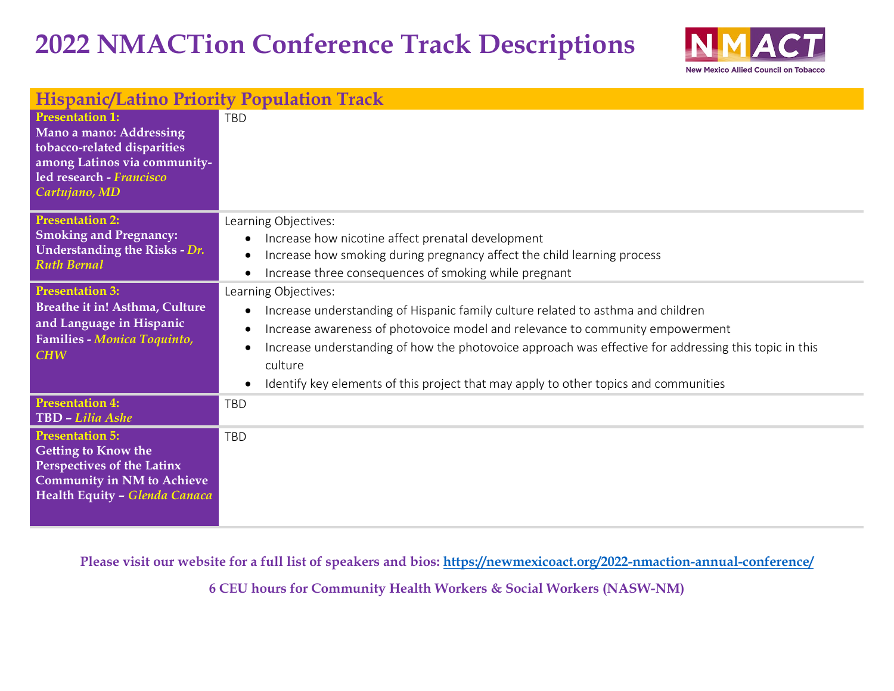## **2022 NMACTion Conference Track Descriptions**



| <b>Hispanic/Latino Priority Population Track</b>                                                                                                                |                                                                                                                                                                                                                                                                                                                                                                                                                                                           |  |
|-----------------------------------------------------------------------------------------------------------------------------------------------------------------|-----------------------------------------------------------------------------------------------------------------------------------------------------------------------------------------------------------------------------------------------------------------------------------------------------------------------------------------------------------------------------------------------------------------------------------------------------------|--|
| <b>Presentation 1:</b><br>Mano a mano: Addressing<br>tobacco-related disparities<br>among Latinos via community-<br>led research - Francisco<br>Cartujano, MD   | <b>TBD</b>                                                                                                                                                                                                                                                                                                                                                                                                                                                |  |
| <b>Presentation 2:</b><br><b>Smoking and Pregnancy:</b><br>Understanding the Risks - Dr.<br><b>Ruth Bernal</b>                                                  | Learning Objectives:<br>Increase how nicotine affect prenatal development<br>$\bullet$<br>Increase how smoking during pregnancy affect the child learning process<br>$\bullet$<br>Increase three consequences of smoking while pregnant<br>$\bullet$                                                                                                                                                                                                      |  |
| <b>Presentation 3:</b><br>Breathe it in! Asthma, Culture<br>and Language in Hispanic<br>Families - Monica Toquinto,<br><b>CHW</b>                               | Learning Objectives:<br>Increase understanding of Hispanic family culture related to asthma and children<br>$\bullet$<br>Increase awareness of photovoice model and relevance to community empowerment<br>$\bullet$<br>Increase understanding of how the photovoice approach was effective for addressing this topic in this<br>$\bullet$<br>culture<br>Identify key elements of this project that may apply to other topics and communities<br>$\bullet$ |  |
| <b>Presentation 4:</b><br>TBD - Lilia Ashe                                                                                                                      | <b>TBD</b>                                                                                                                                                                                                                                                                                                                                                                                                                                                |  |
| <b>Presentation 5:</b><br><b>Getting to Know the</b><br><b>Perspectives of the Latinx</b><br><b>Community in NM to Achieve</b><br>Health Equity - Glenda Canaca | <b>TBD</b>                                                                                                                                                                                                                                                                                                                                                                                                                                                |  |

**Please visit our website for a full list of speakers and bios:<https://newmexicoact.org/2022-nmaction-annual-conference/>**

**6 CEU hours for Community Health Workers & Social Workers (NASW-NM)**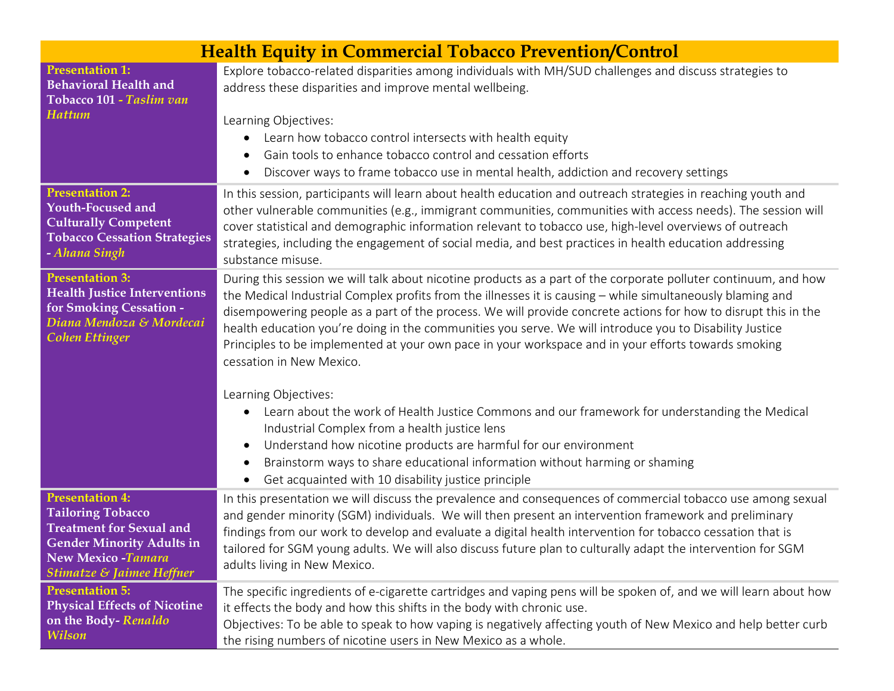| <b>Health Equity in Commercial Tobacco Prevention/Control</b>                                                                                                                      |                                                                                                                                                                                                                                                                                                                                                                                                                                                                                                                                                                                                                                                                                                                                                                                                                                                                                                                                                                                                              |
|------------------------------------------------------------------------------------------------------------------------------------------------------------------------------------|--------------------------------------------------------------------------------------------------------------------------------------------------------------------------------------------------------------------------------------------------------------------------------------------------------------------------------------------------------------------------------------------------------------------------------------------------------------------------------------------------------------------------------------------------------------------------------------------------------------------------------------------------------------------------------------------------------------------------------------------------------------------------------------------------------------------------------------------------------------------------------------------------------------------------------------------------------------------------------------------------------------|
| <b>Presentation 1:</b><br><b>Behavioral Health and</b><br>Tobacco 101 - Taslim van<br><b>Hattum</b>                                                                                | Explore tobacco-related disparities among individuals with MH/SUD challenges and discuss strategies to<br>address these disparities and improve mental wellbeing.<br>Learning Objectives:<br>Learn how tobacco control intersects with health equity<br>$\bullet$<br>Gain tools to enhance tobacco control and cessation efforts<br>$\bullet$<br>Discover ways to frame tobacco use in mental health, addiction and recovery settings<br>$\bullet$                                                                                                                                                                                                                                                                                                                                                                                                                                                                                                                                                           |
| <b>Presentation 2:</b><br><b>Youth-Focused and</b><br><b>Culturally Competent</b><br><b>Tobacco Cessation Strategies</b><br>- Ahana Singh                                          | In this session, participants will learn about health education and outreach strategies in reaching youth and<br>other vulnerable communities (e.g., immigrant communities, communities with access needs). The session will<br>cover statistical and demographic information relevant to tobacco use, high-level overviews of outreach<br>strategies, including the engagement of social media, and best practices in health education addressing<br>substance misuse.                                                                                                                                                                                                                                                                                                                                                                                                                                                                                                                                      |
| <b>Presentation 3:</b><br><b>Health Justice Interventions</b><br>for Smoking Cessation -<br>Diana Mendoza & Mordecai<br><b>Cohen Ettinger</b>                                      | During this session we will talk about nicotine products as a part of the corporate polluter continuum, and how<br>the Medical Industrial Complex profits from the illnesses it is causing - while simultaneously blaming and<br>disempowering people as a part of the process. We will provide concrete actions for how to disrupt this in the<br>health education you're doing in the communities you serve. We will introduce you to Disability Justice<br>Principles to be implemented at your own pace in your workspace and in your efforts towards smoking<br>cessation in New Mexico.<br>Learning Objectives:<br>Learn about the work of Health Justice Commons and our framework for understanding the Medical<br>Industrial Complex from a health justice lens<br>Understand how nicotine products are harmful for our environment<br>$\bullet$<br>Brainstorm ways to share educational information without harming or shaming<br>$\bullet$<br>Get acquainted with 10 disability justice principle |
| <b>Presentation 4:</b><br><b>Tailoring Tobacco</b><br><b>Treatment for Sexual and</b><br><b>Gender Minority Adults in</b><br><b>New Mexico-Tamara</b><br>Stimatze & Jaimee Heffner | In this presentation we will discuss the prevalence and consequences of commercial tobacco use among sexual<br>and gender minority (SGM) individuals. We will then present an intervention framework and preliminary<br>findings from our work to develop and evaluate a digital health intervention for tobacco cessation that is<br>tailored for SGM young adults. We will also discuss future plan to culturally adapt the intervention for SGM<br>adults living in New Mexico.                                                                                                                                                                                                                                                                                                                                                                                                                                                                                                                           |
| <b>Presentation 5:</b><br><b>Physical Effects of Nicotine</b><br>on the Body-Renaldo<br><b>Wilson</b>                                                                              | The specific ingredients of e-cigarette cartridges and vaping pens will be spoken of, and we will learn about how<br>it effects the body and how this shifts in the body with chronic use.<br>Objectives: To be able to speak to how vaping is negatively affecting youth of New Mexico and help better curb<br>the rising numbers of nicotine users in New Mexico as a whole.                                                                                                                                                                                                                                                                                                                                                                                                                                                                                                                                                                                                                               |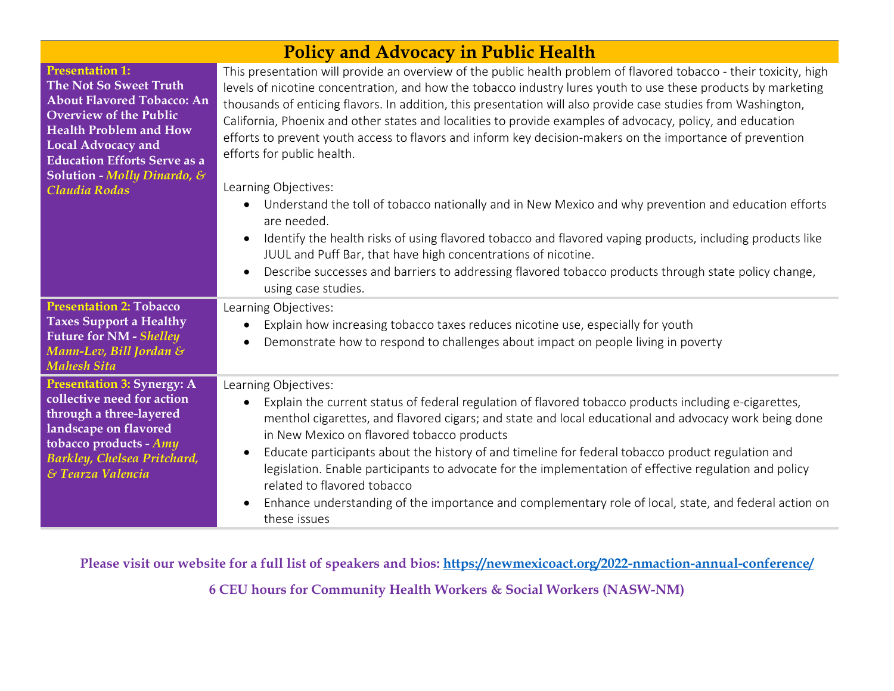| <b>Policy and Advocacy in Public Health</b>                                                                                                                                                                                                                                 |                                                                                                                                                                                                                                                                                                                                                                                                                                                                                                                                                                                                                                                                                                                                                                                                                                                                                                                                                                                                                                                                                                                  |  |
|-----------------------------------------------------------------------------------------------------------------------------------------------------------------------------------------------------------------------------------------------------------------------------|------------------------------------------------------------------------------------------------------------------------------------------------------------------------------------------------------------------------------------------------------------------------------------------------------------------------------------------------------------------------------------------------------------------------------------------------------------------------------------------------------------------------------------------------------------------------------------------------------------------------------------------------------------------------------------------------------------------------------------------------------------------------------------------------------------------------------------------------------------------------------------------------------------------------------------------------------------------------------------------------------------------------------------------------------------------------------------------------------------------|--|
| <b>Presentation 1:</b><br>The Not So Sweet Truth<br><b>About Flavored Tobacco: An</b><br><b>Overview of the Public</b><br><b>Health Problem and How</b><br><b>Local Advocacy and</b><br><b>Education Efforts Serve as a</b><br>Solution - Molly Dinardo, &<br>Claudia Rodas | This presentation will provide an overview of the public health problem of flavored tobacco - their toxicity, high<br>levels of nicotine concentration, and how the tobacco industry lures youth to use these products by marketing<br>thousands of enticing flavors. In addition, this presentation will also provide case studies from Washington,<br>California, Phoenix and other states and localities to provide examples of advocacy, policy, and education<br>efforts to prevent youth access to flavors and inform key decision-makers on the importance of prevention<br>efforts for public health.<br>Learning Objectives:<br>Understand the toll of tobacco nationally and in New Mexico and why prevention and education efforts<br>$\bullet$<br>are needed.<br>Identify the health risks of using flavored tobacco and flavored vaping products, including products like<br>$\bullet$<br>JUUL and Puff Bar, that have high concentrations of nicotine.<br>Describe successes and barriers to addressing flavored tobacco products through state policy change,<br>$\bullet$<br>using case studies. |  |
| <b>Presentation 2: Tobacco</b><br><b>Taxes Support a Healthy</b><br><b>Future for NM - Shelley</b><br>Mann-Lev, Bill Jordan &<br><b>Mahesh Sita</b>                                                                                                                         | Learning Objectives:<br>Explain how increasing tobacco taxes reduces nicotine use, especially for youth<br>$\bullet$<br>Demonstrate how to respond to challenges about impact on people living in poverty<br>$\bullet$                                                                                                                                                                                                                                                                                                                                                                                                                                                                                                                                                                                                                                                                                                                                                                                                                                                                                           |  |
| <b>Presentation 3: Synergy: A</b><br>collective need for action<br>through a three-layered<br>landscape on flavored<br>tobacco products - Amy<br>Barkley, Chelsea Pritchard,<br>& Tearza Valencia                                                                           | Learning Objectives:<br>Explain the current status of federal regulation of flavored tobacco products including e-cigarettes,<br>$\bullet$<br>menthol cigarettes, and flavored cigars; and state and local educational and advocacy work being done<br>in New Mexico on flavored tobacco products<br>Educate participants about the history of and timeline for federal tobacco product regulation and<br>$\bullet$<br>legislation. Enable participants to advocate for the implementation of effective regulation and policy<br>related to flavored tobacco<br>Enhance understanding of the importance and complementary role of local, state, and federal action on<br>$\bullet$<br>these issues                                                                                                                                                                                                                                                                                                                                                                                                               |  |

**Please visit our website for a full list of speakers and bios:<https://newmexicoact.org/2022-nmaction-annual-conference/>**

**6 CEU hours for Community Health Workers & Social Workers (NASW-NM)**